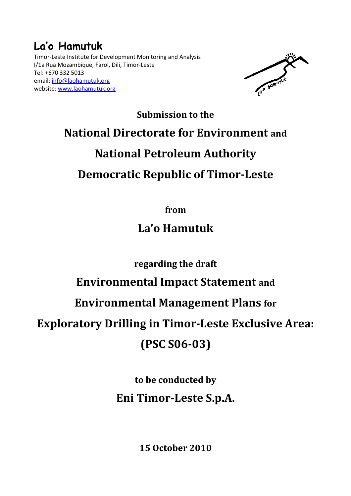# La'o Hamutuk

Timor-Leste Institute for Development Monitoring and Analysis I/1a Rua Mozambique, Farol, Dili, Timor-Leste Tel: +670 332 5013 email: info@laohamutuk.org website: www.laohamutuk.org



# Submission to the National Directorate for Environment and National Petroleum Authority Democratic Republic of Timor-Leste

from

# La'o Hamutuk

regarding the draft

### Environmental Impact Statement and

### Environmental Management Plans for

# Exploratory Drilling in Timor-Leste Exclusive Area:

## (PSC S06-03)

# to be conducted by Eni Timor-Leste S.p.A.

15 October 2010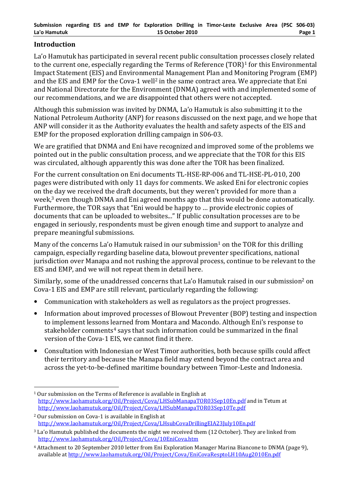#### Introduction

La'o Hamutuk has participated in several recent public consultation processes closely related to the current one, especially regarding the Terms of Reference (TOR)<sup>1</sup> for this Environmental Impact Statement (EIS) and Environmental Management Plan and Monitoring Program (EMP) and the EIS and EMP for the Cova-1 well<sup>2</sup> in the same contract area. We appreciate that Eni and National Directorate for the Environment (DNMA) agreed with and implemented some of our recommendations, and we are disappointed that others were not accepted.

Although this submission was invited by DNMA, La'o Hamutuk is also submitting it to the National Petroleum Authority (ANP) for reasons discussed on the next page, and we hope that ANP will consider it as the Authority evaluates the health and safety aspects of the EIS and EMP for the proposed exploration drilling campaign in S06-03.

We are gratified that DNMA and Eni have recognized and improved some of the problems we pointed out in the public consultation process, and we appreciate that the TOR for this EIS was circulated, although apparently this was done after the TOR has been finalized.

For the current consultation on Eni documents TL-HSE-RP-006 and TL-HSE-PL-010, 200 pages were distributed with only 11 days for comments. We asked Eni for electronic copies on the day we received the draft documents, but they weren't provided for more than a week,<sup>3</sup> even though DNMA and Eni agreed months ago that this would be done automatically. Furthermore, the TOR says that "Eni would be happy to … provide electronic copies of documents that can be uploaded to websites..." If public consultation processes are to be engaged in seriously, respondents must be given enough time and support to analyze and prepare meaningful submissions.

Many of the concerns La'o Hamutuk raised in our submission<sup>1</sup> on the TOR for this drilling campaign, especially regarding baseline data, blowout preventer specifications, national jurisdiction over Manapa and not rushing the approval process, continue to be relevant to the EIS and EMP, and we will not repeat them in detail here.

Similarly, some of the unaddressed concerns that La'o Hamutuk raised in our submission<sup>2</sup> on Cova-1 EIS and EMP are still relevant, particularly regarding the following:

- Communication with stakeholders as well as regulators as the project progresses.
- Information about improved processes of Blowout Preventer (BOP) testing and inspection to implement lessons learned from Montara and Macondo. Although Eni's response to stakeholder comments<sup>4</sup> says that such information could be summarized in the final version of the Cova-1 EIS, we cannot find it there.
- Consultation with Indonesian or West Timor authorities, both because spills could affect their territory and because the Manapa field may extend beyond the contract area and across the yet-to-be-defined maritime boundary between Timor-Leste and Indonesia.

 $\overline{a}$ <sup>1</sup> Our submission on the Terms of Reference is available in English at http://www.laohamutuk.org/Oil/Project/Cova/LHSubManapaTOR03Sep10En.pdf and in Tetum at http://www.laohamutuk.org/Oil/Project/Cova/LHSubManapaTOR03Sep10Te.pdf

<sup>2</sup> Our submission on Cova-1 is available in English at http://www.laohamutuk.org/Oil/Project/Cova/LHsubCovaDrillingEIA23July10En.pdf

<sup>&</sup>lt;sup>3</sup> La'o Hamutuk published the documents the night we received them (12 October). They are linked from http://www.laohamutuk.org/Oil/Project/Cova/10EniCova.htm

<sup>4</sup> Attachment to 20 September 2010 letter from Eni Exploration Manager Marina Biancone to DNMA (page 9), available at http://www.laohamutuk.org/Oil/Project/Cova/EniCovaResptoLH10Aug2010En.pdf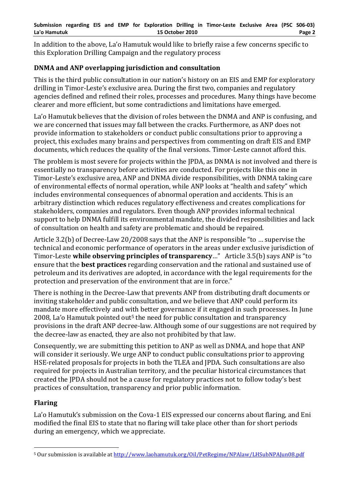In addition to the above, La'o Hamutuk would like to briefly raise a few concerns specific to this Exploration Drilling Campaign and the regulatory process

### DNMA and ANP overlapping jurisdiction and consultation

This is the third public consultation in our nation's history on an EIS and EMP for exploratory drilling in Timor-Leste's exclusive area. During the first two, companies and regulatory agencies defined and refined their roles, processes and procedures. Many things have become clearer and more efficient, but some contradictions and limitations have emerged.

La'o Hamutuk believes that the division of roles between the DNMA and ANP is confusing, and we are concerned that issues may fall between the cracks. Furthermore, as ANP does not provide information to stakeholders or conduct public consultations prior to approving a project, this excludes many brains and perspectives from commenting on draft EIS and EMP documents, which reduces the quality of the final versions. Timor-Leste cannot afford this.

The problem is most severe for projects within the JPDA, as DNMA is not involved and there is essentially no transparency before activities are conducted. For projects like this one in Timor-Leste's exclusive area, ANP and DNMA divide responsibilities, with DNMA taking care of environmental effects of normal operation, while ANP looks at "health and safety" which includes environmental consequences of abnormal operation and accidents. This is an arbitrary distinction which reduces regulatory effectiveness and creates complications for stakeholders, companies and regulators. Even though ANP provides informal technical support to help DNMA fulfill its environmental mandate, the divided responsibilities and lack of consultation on health and safety are problematic and should be repaired.

Article 3.2(b) of Decree-Law 20/2008 says that the ANP is responsible "to … supervise the technical and economic performance of operators in the areas under exclusive jurisdiction of Timor-Leste while observing principles of transparency..." Article 3.5(b) says ANP is "to ensure that the **best practices** regarding conservation and the rational and sustained use of petroleum and its derivatives are adopted, in accordance with the legal requirements for the protection and preservation of the environment that are in force."

There is nothing in the Decree-Law that prevents ANP from distributing draft documents or inviting stakeholder and public consultation, and we believe that ANP could perform its mandate more effectively and with better governance if it engaged in such processes. In June 2008, La'o Hamutuk pointed out<sup>5</sup> the need for public consultation and transparency provisions in the draft ANP decree-law. Although some of our suggestions are not required by the decree-law as enacted, they are also not prohibited by that law.

Consequently, we are submitting this petition to ANP as well as DNMA, and hope that ANP will consider it seriously. We urge ANP to conduct public consultations prior to approving HSE-related proposals for projects in both the TLEA and JPDA. Such consultations are also required for projects in Australian territory, and the peculiar historical circumstances that created the JPDA should not be a cause for regulatory practices not to follow today's best practices of consultation, transparency and prior public information.

#### Flaring

La'o Hamutuk's submission on the Cova-1 EIS expressed our concerns about flaring, and Eni modified the final EIS to state that no flaring will take place other than for short periods during an emergency, which we appreciate.

 $\overline{a}$ <sup>5</sup> Our submission is available at http://www.laohamutuk.org/Oil/PetRegime/NPAlaw/LHSubNPAJun08.pdf